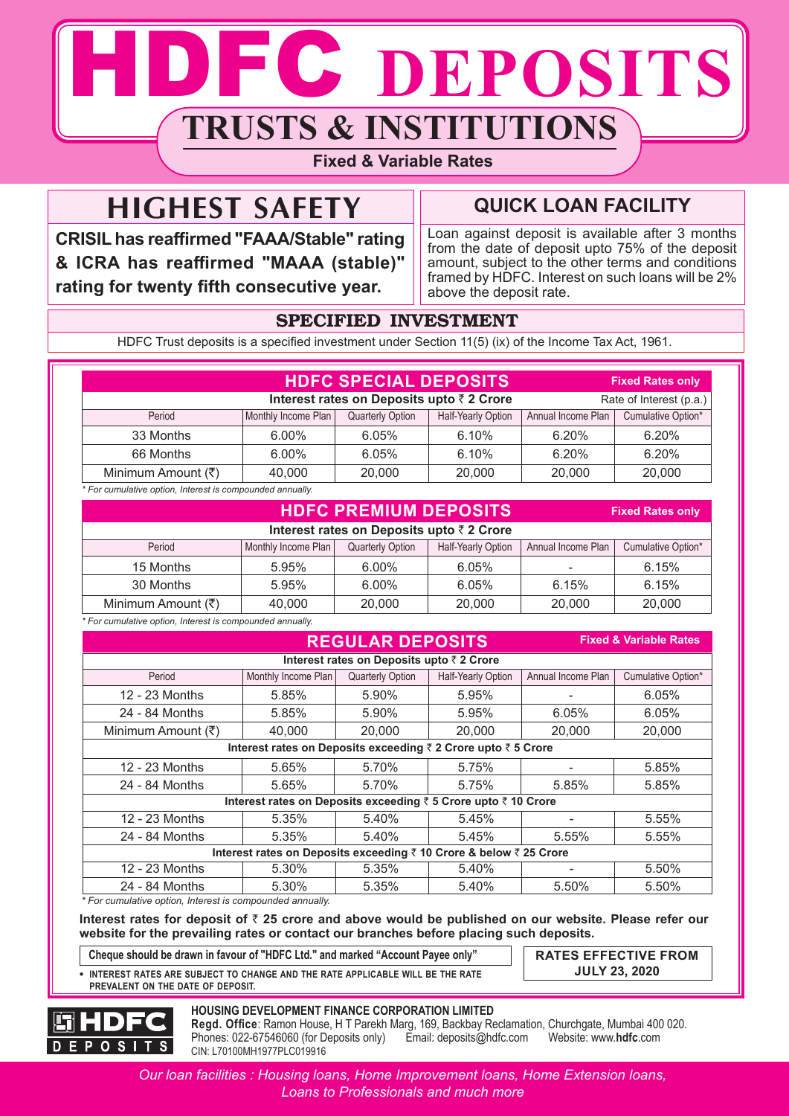# DFC DEPOSITS **TRUSTS & INSTITUTIONS**

## **Fixed & Variable Rates**

## **HIGHEST SAFETY**

**CRISIL has reaffirmed "FAAA/Stable" rating & ICRA has reaffirmed "MAAA (stable)" rating for twenty fifth consecutive year.**

## **QUICK LOAN FACILITY**

Loan against deposit is available after 3 months from the date of deposit upto 75% of the deposit amount, subject to the other terms and conditions framed by HDFC. Interest on such loans will be 2% above the deposit rate.

**Fixed Rates only**

## SPECIFIED INVESTMENT

HDFC Trust deposits is a specified investment under Section 11(5) (ix) of the Income Tax Act, 1961.

|                                                                      |                     | <b>HDFC SPECIAL DEPOSITS</b> |                    |                    | <b>Fixed Rates only</b> |
|----------------------------------------------------------------------|---------------------|------------------------------|--------------------|--------------------|-------------------------|
| Interest rates on Deposits upto ₹ 2 Crore<br>Rate of Interest (p.a.) |                     |                              |                    |                    |                         |
| Period                                                               | Monthly Income Plan | <b>Quarterly Option</b>      | Half-Yearly Option | Annual Income Plan | Cumulative Option*      |
| 33 Months                                                            | 6.00%               | 6.05%                        | 6.10%              | 6.20%              | 6.20%                   |
| 66 Months                                                            | 6.00%               | 6.05%                        | 6.10%              | 6.20%              | 6.20%                   |
| Minimum Amount (₹)                                                   | 40.000              | 20,000                       | 20,000             | 20,000             | 20,000                  |
| * For cumulative option, Interest is compounded annually.            |                     |                              |                    |                    |                         |

### **HDFC PREMIUM DEPOSITS**

| Interest rates on Deposits upto ₹2 Crore                           |                     |                         |                    |                    |                    |  |
|--------------------------------------------------------------------|---------------------|-------------------------|--------------------|--------------------|--------------------|--|
| Period                                                             | Monthly Income Plan | <b>Quarterly Option</b> | Half-Yearly Option | Annual Income Plan | Cumulative Option* |  |
| 15 Months                                                          | 5.95%               | 6.00%                   | 6.05%              |                    | 6.15%              |  |
| 30 Months                                                          | 5.95%               | 6.00%                   | 6.05%              | 6.15%              | 6.15%              |  |
| Minimum Amount (₹)                                                 | 40.000              | 20,000                  | 20,000             | 20,000             | 20,000             |  |
| For concertables and to a trade of the concert conduct and all the |                     |                         |                    |                    |                    |  |

*\* For cumulative option, Interest is compounded annually.*

| <b>REGULAR DEPOSITS</b><br><b>Fixed &amp; Variable Rates</b>   |                                                                    |                                          |                    |                    |                    |  |  |
|----------------------------------------------------------------|--------------------------------------------------------------------|------------------------------------------|--------------------|--------------------|--------------------|--|--|
|                                                                |                                                                    | Interest rates on Deposits upto ₹2 Crore |                    |                    |                    |  |  |
| Period                                                         | Monthly Income Plan                                                | <b>Quarterly Option</b>                  | Half-Yearly Option | Annual Income Plan | Cumulative Option* |  |  |
| 12 - 23 Months                                                 | 5.85%                                                              | 5.90%                                    | 5.95%              |                    | 6.05%              |  |  |
| 24 - 84 Months                                                 | 5.85%                                                              | 5.90%                                    | 5.95%              | 6.05%              | 6.05%              |  |  |
| Minimum Amount (₹)                                             | 40,000                                                             | 20,000                                   | 20,000             | 20,000             | 20,000             |  |  |
|                                                                | Interest rates on Deposits exceeding ₹ 2 Crore upto ₹ 5 Crore      |                                          |                    |                    |                    |  |  |
| 12 - 23 Months                                                 | 5.65%                                                              | 5.70%                                    | 5.75%              |                    | 5.85%              |  |  |
| 24 - 84 Months                                                 | 5.65%                                                              | 5.70%                                    | 5.75%              | 5.85%              | 5.85%              |  |  |
| Interest rates on Deposits exceeding ₹ 5 Crore upto ₹ 10 Crore |                                                                    |                                          |                    |                    |                    |  |  |
| 12 - 23 Months                                                 | 5.35%                                                              | 5.40%                                    | 5.45%              |                    | 5.55%              |  |  |
| 24 - 84 Months                                                 | 5.35%                                                              | 5.40%                                    | 5.45%              | 5.55%              | 5.55%              |  |  |
|                                                                | Interest rates on Deposits exceeding ₹ 10 Crore & below ₹ 25 Crore |                                          |                    |                    |                    |  |  |
| 12 - 23 Months                                                 | 5.30%                                                              | 5.35%                                    | 5.40%              |                    | 5.50%              |  |  |
| 24 - 84 Months                                                 | 5.30%                                                              | 5.35%                                    | 5.40%              | 5.50%              | 5.50%              |  |  |

*\* For cumulative option, Interest is compounded annually.*

**Interest rates for deposit of** ` **25 crore and above would be published on our website. Please refer our website for the prevailing rates or contact our branches before placing such deposits.**

**Cheque should be drawn in favour of "HDFC Ltd." and marked "Account Payee only" RATES EFFECTIVE FROM**

 **INTEREST RATES ARE SUBJECT TO CHANGE AND THE RATE APPLICABLE WILL BE THE RATE PREVALENT ON THE DATE OF DEPOSIT.**

**JULY 23, 2020**



#### **HOUSING DEVELOPMENT FINANCE CORPORATION LIMITED**

**Regd. Office**: Ramon House, H T Parekh Marg, 169, Backbay Reclamation, Churchgate, Mumbai 400 020. Phones: 022-67546060 (for Deposits only) Email: deposits@hdfc.com Website: www.**hdfc**.com CIN: L70100MH1977PLC019916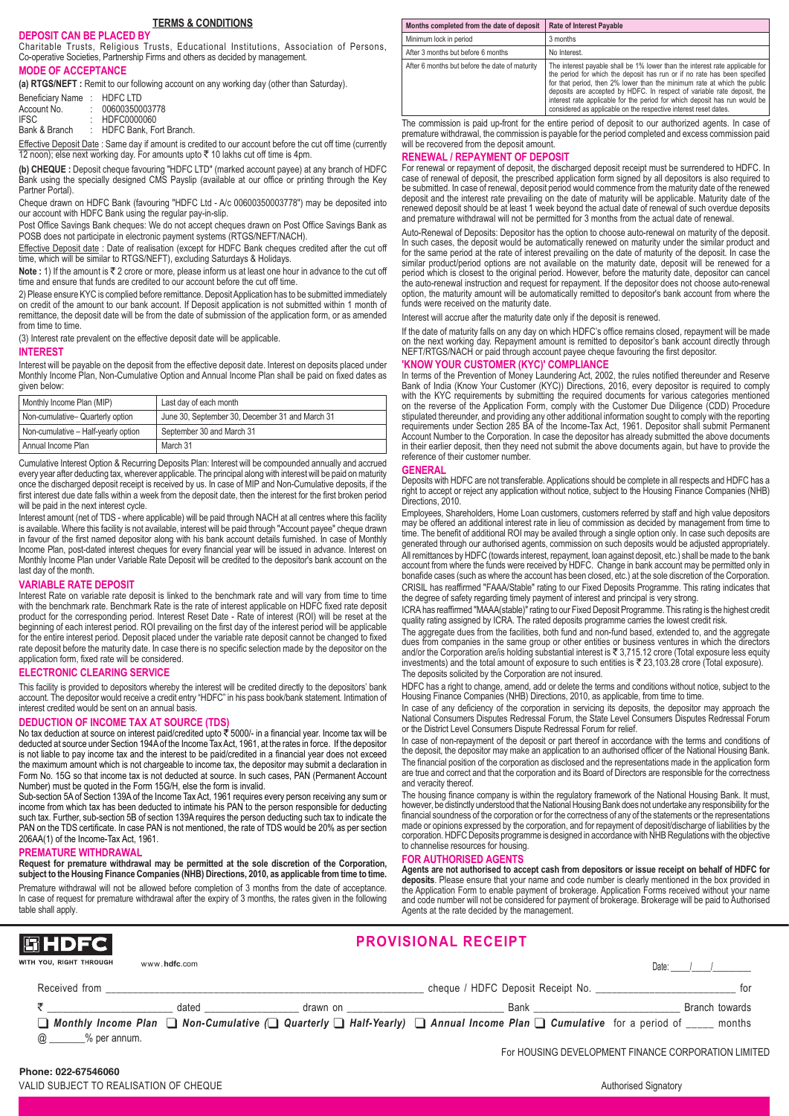#### **TERMS & CONDITIONS**

#### **DEPOSIT CAN BE PLACED BY**

Charitable Trusts, Religious Trusts, Educational Institutions, Association of Persons, Co-operative Societies, Partnership Firms and others as decided by management.

#### **MODE OF ACCEPTANCE**

**(a) RTGS/NEFT :** Remit to our following account on any working day (other than Saturday).

| Beneficiary Name: | <b>HDFC LTD</b>         |
|-------------------|-------------------------|
| Account No.       | 00600350003778          |
| <b>IFSC</b>       | HDFC0000060             |
| Bank & Branch     | HDFC Bank, Fort Branch. |

Effective Deposit Date : Same day if amount is credited to our account before the cut off time (currently<br>12 noon); else next working day. For amounts upto ₹ 10 lakhs cut off time is 4pm.

**(b) CHEQUE :** Deposit cheque favouring "HDFC LTD" (marked account payee) at any branch of HDFC Bank using the specially designed CMS Payslip (available at our office or printing through the Key Partner Portal).

Cheque drawn on HDFC Bank (favouring "HDFC Ltd - A/c 00600350003778") may be deposited into our account with HDFC Bank using the regular pay-in-slip.

Post Office Savings Bank cheques: We do not accept cheques drawn on Post Office Savings Bank as POSB does not participate in electronic payment systems (RTGS/NEFT/NACH).

Effective Deposit date : Date of realisation (except for HDFC Bank cheques credited after the cut off time, which will be similar to RTGS/NEFT), excluding Saturdays & Holidays.

**Note :** 1) If the amount is ₹ 2 crore or more, please inform us at least one hour in advance to the cut off time and ensure that funds are credited to our account before the cut off time.

2) Please ensure KYC is complied before remittance. Deposit Application has to be submitted immediately on credit of the amount to our bank account. If Deposit application is not submitted within 1 month of remittance, the deposit date will be from the date of submission of the application form, or as amended from time to time

(3) Interest rate prevalent on the effective deposit date will be applicable.

#### **INTEREST**

Interest will be payable on the deposit from the effective deposit date. Interest on deposits placed under Monthly Income Plan, Non-Cumulative Option and Annual Income Plan shall be paid on fixed dates as given below:

| Monthly Income Plan (MIP)           | Last day of each month                          |
|-------------------------------------|-------------------------------------------------|
| Non-cumulative- Quarterly option    | June 30, September 30, December 31 and March 31 |
| Non-cumulative - Half-yearly option | September 30 and March 31                       |
| Annual Income Plan                  | March 31                                        |

Cumulative Interest Option & Recurring Deposits Plan: Interest will be compounded annually and accrued every year after deducting tax, wherever applicable. The principal along with interest will be paid on maturity once the discharged deposit receipt is received by us. In case of MIP and Non-Cumulative deposits, if the first interest due date falls within a week from the deposit date, then the interest for the first broken period will be paid in the next interest cycle.

Interest amount (net of TDS - where applicable) will be paid through NACH at all centres where this facility is available. Where this facility is not available, interest will be paid through "Account payee" cheque drawn in favour of the first named depositor along with his bank account details furnished. In case of Monthly Income Plan, post-dated interest cheques for every financial year will be issued in advance. Interest on Monthly Income Plan under Variable Rate Deposit will be credited to the depositor's bank account on the last day of the month.

#### **VARIABLE RATE DEPOSIT**

Interest Rate on variable rate deposit is linked to the benchmark rate and will vary from time to time with the benchmark rate. Benchmark Rate is the rate of interest applicable on HDFC fixed rate deposit product for the corresponding period. Interest Reset Date - Rate of interest (ROI) will be reset at the beginning of each interest period. ROI prevailing on the first day of the interest period will be applicable for the entire interest period. Deposit placed under the variable rate deposit cannot be changed to fixed rate deposit before the maturity date. In case there is no specific selection made by the depositor on the application form, fixed rate will be considered.

#### **ELECTRONIC CLEARING SERVICE**

This facility is provided to depositors whereby the interest will be credited directly to the depositors' bank account. The depositor would receive a credit entry "HDFC" in his pass book/bank statement. Intimation of interest credited would be sent on an annual basis.

#### **DEDUCTION OF INCOME TAX AT SOURCE (TDS)**

No tax deduction at source on interest paid/credited upto ₹ 5000/- in a financial year. Income tax will be deducted at source under Section 194A of the Income Tax Act, 1961, at the rates in force. If the depositor is not liable to pay income tax and the interest to be paid/credited in a financial year does not exceed the maximum amount which is not chargeable to income tax, the depositor may submit a declaration in Form No. 15G so that income tax is not deducted at source. In such cases, PAN (Permanent Account Number) must be quoted in the Form 15G/H, else the form is invalid.

Sub-section 5A of Section 139A of the Income Tax Act, 1961 requires every person receiving any sum or income from which tax has been deducted to intimate his PAN to the person responsible for deducting such tax. Further, sub-section 5B of section 139A requires the person deducting such tax to indicate the PAN on the TDS certificate. In case PAN is not mentioned, the rate of TDS would be 20% as per section 206AA(1) of the Income-Tax Act, 1961.

#### **PREMATURE WITHDRAWAL**

**Request for premature withdrawal may be permitted at the sole discretion of the Corporation, subject to the Housing Finance Companies (NHB) Directions, 2010, as applicable from time to time.**

Premature withdrawal will not be allowed before completion of 3 months from the date of acceptance. In case of request for premature withdrawal after the expiry of 3 months, the rates given in the following table shall apply.

| Months completed from the date of deposit      | <b>Rate of Interest Payable</b>                                                                                                                                                                                                                                                                                                                                                                                                                                    |
|------------------------------------------------|--------------------------------------------------------------------------------------------------------------------------------------------------------------------------------------------------------------------------------------------------------------------------------------------------------------------------------------------------------------------------------------------------------------------------------------------------------------------|
| Minimum lock in period                         | 3 months                                                                                                                                                                                                                                                                                                                                                                                                                                                           |
| After 3 months but before 6 months             | No Interest.                                                                                                                                                                                                                                                                                                                                                                                                                                                       |
| After 6 months but before the date of maturity | The interest payable shall be 1% lower than the interest rate applicable for<br>the period for which the deposit has run or if no rate has been specified<br>for that period, then 2% lower than the minimum rate at which the public<br>deposits are accepted by HDFC. In respect of variable rate deposit, the<br>interest rate applicable for the period for which deposit has run would be<br>considered as applicable on the respective interest reset dates. |

The commission is paid up-front for the entire period of deposit to our authorized agents. In case of premature withdrawal, the commission is payable for the period completed and excess commission paid will be recovered from the deposit amount.

#### **RENEWAL / REPAYMENT OF DEPOSIT**

For renewal or repayment of deposit, the discharged deposit receipt must be surrendered to HDFC. In case of renewal of deposit, the prescribed application form signed by all depositors is also required to be submitted. In case of renewal, deposit period would commence from the maturity date of the renewed deposit and the interest rate prevailing on the date of maturity will be applicable. Maturity date of the renewed deposit should be at least 1 week beyond the actual date of renewal of such overdue deposits and premature withdrawal will not be permitted for 3 months from the actual date of renewal.

Auto-Renewal of Deposits: Depositor has the option to choose auto-renewal on maturity of the deposit. In such cases, the deposit would be automatically renewed on maturity under the similar product and for the same period at the rate of interest prevailing on the date of maturity of the deposit. In case the similar product/period options are not available on the maturity date, deposit will be renewed for a period which is closest to the original period. However, before the maturity date, depositor can cancel the auto-renewal instruction and request for repayment. If the depositor does not choose auto-renewal option, the maturity amount will be automatically remitted to depositor's bank account from where the funds were received on the maturity date.

Interest will accrue after the maturity date only if the deposit is renewed.

If the date of maturity falls on any day on which HDFC's office remains closed, repayment will be made on the next working day. Repayment amount is remitted to depositor's bank account directly through NEFT/RTGS/NACH or paid through account payee cheque favouring the first depositor.

#### **'KNOW YOUR CUSTOMER (KYC)' COMPLIANCE**

In terms of the Prevention of Money Laundering Act, 2002, the rules notified thereunder and Reserve Bank of India (Know Your Customer (KYC)) Directions, 2016, every depositor is required to comply<br>with the KYC requirements by submitting the required documents for various categories mentioned<br>on the reverse of the Applica stipulated thereunder, and providing any other additional information sought to comply with the reporting requirements under Section 285 BA of the Income-Tax Act, 1961. Depositor shall submit Permanent Account Number to the Corporation. In case the depositor has already submitted the above documents in their earlier deposit, then they need not submit the above documents again, but have to provide the reference of their customer number.

#### **GENERAL**

Deposits with HDFC are not transferable. Applications should be complete in all respects and HDFC has a right to accept or reject any application without notice, subject to the Housing Finance Companies (NHB) Directions, 2010.

Employees, Shareholders, Home Loan customers, customers referred by staff and high value depositors may be offered an additional interest rate in lieu of commission as decided by management from time to time. The benefit of additional ROI may be availed through a single option only. In case such deposits are generated through our authorised agents, commission on such deposits would be adjusted appropriately. All remittances by HDFC (towards interest, repayment, loan against deposit, etc.) shall be made to the bank account from where the funds were received by HDFC. Change in bank account may be permitted only in bonafide cases (such as where the account has been closed, etc.) at the sole discretion of the Corporation. CRISIL has reaffirmed "FAAA/Stable" rating to our Fixed Deposits Programme. This rating indicates that the degree of safety regarding timely payment of interest and principal is very strong.

ICRA has reaffirmed "MAAA(stable)" rating to our Fixed Deposit Programme. This rating is the highest credit quality rating assigned by ICRA. The rated deposits programme carries the lowest credit risk.

The aggregate dues from the facilities, both fund and non-fund based, extended to, and the aggregate dues from companies in the same group or other entities or business ventures in which the directors and/or the Corporation are/is holding substantial interest is ` 3,715.12 crore (Total exposure less equity investments) and the total amount of exposure to such entities is  $\overline{\tau}$  23,103.28 crore (Total exposure). The deposits solicited by the Corporation are not insured.

HDFC has a right to change, amend, add or delete the terms and conditions without notice, subject to the Housing Finance Companies (NHB) Directions, 2010, as applicable, from time to time.

In case of any deficiency of the corporation in servicing its deposits, the depositor may approach the National Consumers Disputes Redressal Forum, the State Level Consumers Disputes Redressal Forum or the District Level Consumers Dispute Redressal Forum for relief.

In case of non-repayment of the deposit or part thereof in accordance with the terms and conditions of the deposit, the depositor may make an application to an authorised officer of the National Housing Bank. The financial position of the corporation as disclosed and the representations made in the application form are true and correct and that the corporation and its Board of Directors are responsible for the correctness and veracity thereof.

The housing finance company is within the regulatory framework of the National Housing Bank. It must, however, be distinctly understood that the National Housing Bank does not undertake any responsibility for the financial soundness of the corporation or for the correctness of any of the statements or the representations made or opinions expressed by the corporation, and for repayment of deposit/discharge of liabilities by the corporation. HDFC Deposits programme is designed in accordance with NHB Regulations with the objective to channelise resources for housing.

#### **FOR AUTHORISED AGENTS**

**Agents are not authorised to accept cash from depositors or issue receipt on behalf of HDFC for deposits**. Please ensure that your name and code number is clearly mentioned in the box provided in the Application Form to enable payment of brokerage. Application Forms received without your name and code number will not be considered for payment of brokerage. Brokerage will be paid to Authorised Agents at the rate decided by the management.

| <b>圖HDFC</b>            |              |                                        | <b>PROVISIONAL RECEIPT</b>                                                                                                                                      |                                                     |
|-------------------------|--------------|----------------------------------------|-----------------------------------------------------------------------------------------------------------------------------------------------------------------|-----------------------------------------------------|
| WITH YOU. RIGHT THROUGH | www.hdfc.com |                                        |                                                                                                                                                                 | Date:                                               |
| Received from           |              |                                        | cheque / HDFC Deposit Receipt No.                                                                                                                               | for                                                 |
|                         | dated        | drawn on _____________________________ | <b>Bank Bank Bank</b>                                                                                                                                           | Branch towards                                      |
|                         |              |                                        | $\Box$ Monthly Income Plan $\Box$ Non-Cumulative $\Box$ Quarterly $\Box$ Half-Yearly) $\Box$ Annual Income Plan $\Box$ Cumulative for a period of $\Box$ months |                                                     |
| @ % per annum.          |              |                                        |                                                                                                                                                                 |                                                     |
|                         |              |                                        |                                                                                                                                                                 | For HOUSING DEVELOPMENT FINANCE CORPORATION LIMITED |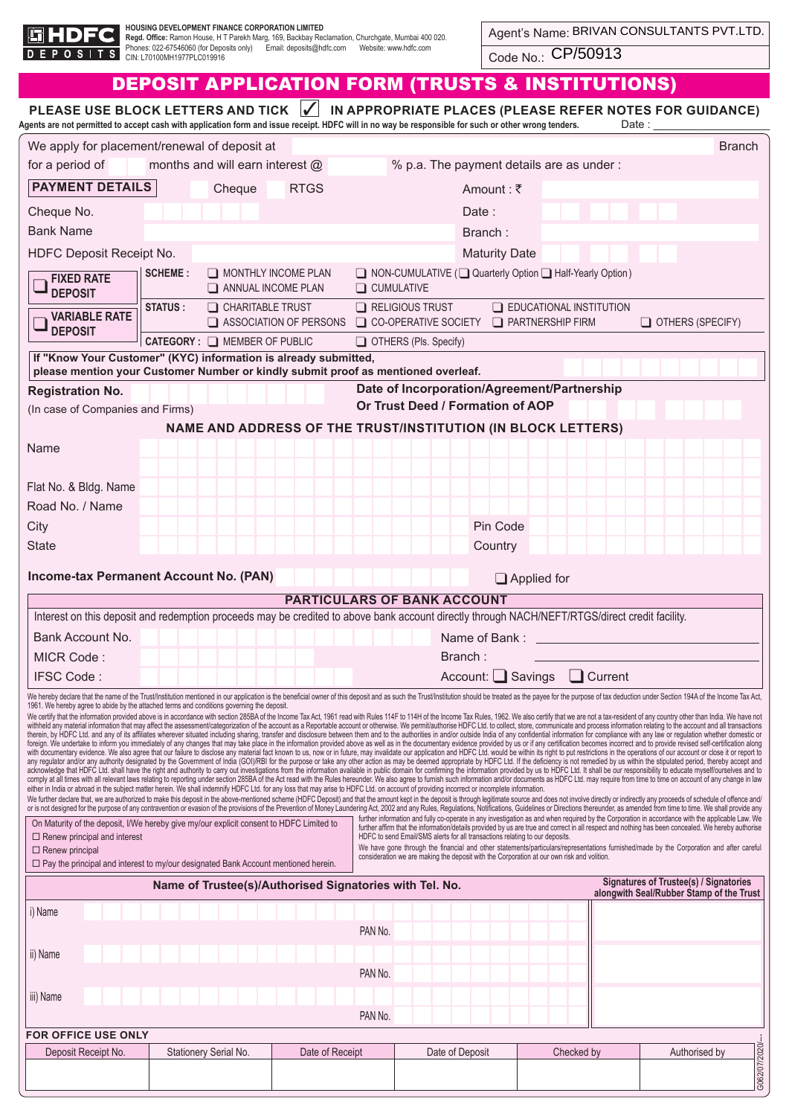

H**OUSING DEVELOPMENT FINANCE CORPORATION LIMITED**<br>**Regd. Offic**e: Ramon House, H T Parekh Marg, 169, Backbay Reclamation, Churchgate, Mumbai 400 020.<br>Phones: 022-67546060 (for Deposits only) Email: deposits@hdfc.com We

Code No.: CP/50913

| PLEASE USE BLOCK LETTERS AND TICK √<br>IN APPROPRIATE PLACES (PLEASE REFER NOTES FOR GUIDANCE)<br>Agents are not permitted to accept cash with application form and issue receipt. HDFC will in no way be responsible for such or other wrong tenders.<br>Date :                                                                                                                                                                                                                                                                                                                                                                                                                                                                                                                                                                                                                                                                                                                                                                                                                                                                                                                                                                                                                                                                                                                                                                                                                                                                                                                                                                                                                                                                                                                                                                                                                                                                                                                                                                                                                                                                                                                                                                                                                                                                                                                                                                                                                                                                                                                                                                                                                                                                                                                                                                                                                                                                                                                                                                                                                                                                                                                                                                                                                                                                                                                                                                                                                                                                                                                                                                                                                                                                                                         |                                                                                                                                                      |                        |                                                              |                         |                                           |                                                                                    |
|--------------------------------------------------------------------------------------------------------------------------------------------------------------------------------------------------------------------------------------------------------------------------------------------------------------------------------------------------------------------------------------------------------------------------------------------------------------------------------------------------------------------------------------------------------------------------------------------------------------------------------------------------------------------------------------------------------------------------------------------------------------------------------------------------------------------------------------------------------------------------------------------------------------------------------------------------------------------------------------------------------------------------------------------------------------------------------------------------------------------------------------------------------------------------------------------------------------------------------------------------------------------------------------------------------------------------------------------------------------------------------------------------------------------------------------------------------------------------------------------------------------------------------------------------------------------------------------------------------------------------------------------------------------------------------------------------------------------------------------------------------------------------------------------------------------------------------------------------------------------------------------------------------------------------------------------------------------------------------------------------------------------------------------------------------------------------------------------------------------------------------------------------------------------------------------------------------------------------------------------------------------------------------------------------------------------------------------------------------------------------------------------------------------------------------------------------------------------------------------------------------------------------------------------------------------------------------------------------------------------------------------------------------------------------------------------------------------------------------------------------------------------------------------------------------------------------------------------------------------------------------------------------------------------------------------------------------------------------------------------------------------------------------------------------------------------------------------------------------------------------------------------------------------------------------------------------------------------------------------------------------------------------------------------------------------------------------------------------------------------------------------------------------------------------------------------------------------------------------------------------------------------------------------------------------------------------------------------------------------------------------------------------------------------------------------------------------------------------------------------------------------------------|------------------------------------------------------------------------------------------------------------------------------------------------------|------------------------|--------------------------------------------------------------|-------------------------|-------------------------------------------|------------------------------------------------------------------------------------|
| We apply for placement/renewal of deposit at<br><b>Branch</b>                                                                                                                                                                                                                                                                                                                                                                                                                                                                                                                                                                                                                                                                                                                                                                                                                                                                                                                                                                                                                                                                                                                                                                                                                                                                                                                                                                                                                                                                                                                                                                                                                                                                                                                                                                                                                                                                                                                                                                                                                                                                                                                                                                                                                                                                                                                                                                                                                                                                                                                                                                                                                                                                                                                                                                                                                                                                                                                                                                                                                                                                                                                                                                                                                                                                                                                                                                                                                                                                                                                                                                                                                                                                                                            |                                                                                                                                                      |                        |                                                              |                         |                                           |                                                                                    |
| for a period of                                                                                                                                                                                                                                                                                                                                                                                                                                                                                                                                                                                                                                                                                                                                                                                                                                                                                                                                                                                                                                                                                                                                                                                                                                                                                                                                                                                                                                                                                                                                                                                                                                                                                                                                                                                                                                                                                                                                                                                                                                                                                                                                                                                                                                                                                                                                                                                                                                                                                                                                                                                                                                                                                                                                                                                                                                                                                                                                                                                                                                                                                                                                                                                                                                                                                                                                                                                                                                                                                                                                                                                                                                                                                                                                                          | months and will earn interest $@$                                                                                                                    |                        |                                                              |                         | % p.a. The payment details are as under : |                                                                                    |
| <b>PAYMENT DETAILS</b>                                                                                                                                                                                                                                                                                                                                                                                                                                                                                                                                                                                                                                                                                                                                                                                                                                                                                                                                                                                                                                                                                                                                                                                                                                                                                                                                                                                                                                                                                                                                                                                                                                                                                                                                                                                                                                                                                                                                                                                                                                                                                                                                                                                                                                                                                                                                                                                                                                                                                                                                                                                                                                                                                                                                                                                                                                                                                                                                                                                                                                                                                                                                                                                                                                                                                                                                                                                                                                                                                                                                                                                                                                                                                                                                                   | Cheque                                                                                                                                               | <b>RTGS</b>            |                                                              | Amount: $\bar{\tau}$    |                                           |                                                                                    |
| Cheque No.                                                                                                                                                                                                                                                                                                                                                                                                                                                                                                                                                                                                                                                                                                                                                                                                                                                                                                                                                                                                                                                                                                                                                                                                                                                                                                                                                                                                                                                                                                                                                                                                                                                                                                                                                                                                                                                                                                                                                                                                                                                                                                                                                                                                                                                                                                                                                                                                                                                                                                                                                                                                                                                                                                                                                                                                                                                                                                                                                                                                                                                                                                                                                                                                                                                                                                                                                                                                                                                                                                                                                                                                                                                                                                                                                               |                                                                                                                                                      |                        |                                                              | Date:                   |                                           |                                                                                    |
| <b>Bank Name</b>                                                                                                                                                                                                                                                                                                                                                                                                                                                                                                                                                                                                                                                                                                                                                                                                                                                                                                                                                                                                                                                                                                                                                                                                                                                                                                                                                                                                                                                                                                                                                                                                                                                                                                                                                                                                                                                                                                                                                                                                                                                                                                                                                                                                                                                                                                                                                                                                                                                                                                                                                                                                                                                                                                                                                                                                                                                                                                                                                                                                                                                                                                                                                                                                                                                                                                                                                                                                                                                                                                                                                                                                                                                                                                                                                         |                                                                                                                                                      |                        |                                                              | Branch:                 |                                           |                                                                                    |
|                                                                                                                                                                                                                                                                                                                                                                                                                                                                                                                                                                                                                                                                                                                                                                                                                                                                                                                                                                                                                                                                                                                                                                                                                                                                                                                                                                                                                                                                                                                                                                                                                                                                                                                                                                                                                                                                                                                                                                                                                                                                                                                                                                                                                                                                                                                                                                                                                                                                                                                                                                                                                                                                                                                                                                                                                                                                                                                                                                                                                                                                                                                                                                                                                                                                                                                                                                                                                                                                                                                                                                                                                                                                                                                                                                          |                                                                                                                                                      |                        |                                                              |                         |                                           |                                                                                    |
| HDFC Deposit Receipt No.                                                                                                                                                                                                                                                                                                                                                                                                                                                                                                                                                                                                                                                                                                                                                                                                                                                                                                                                                                                                                                                                                                                                                                                                                                                                                                                                                                                                                                                                                                                                                                                                                                                                                                                                                                                                                                                                                                                                                                                                                                                                                                                                                                                                                                                                                                                                                                                                                                                                                                                                                                                                                                                                                                                                                                                                                                                                                                                                                                                                                                                                                                                                                                                                                                                                                                                                                                                                                                                                                                                                                                                                                                                                                                                                                 | <b>SCHEME:</b>                                                                                                                                       | MONTHLY INCOME PLAN    | □ NON-CUMULATIVE (□ Quarterly Option □ Half-Yearly Option)   | <b>Maturity Date</b>    |                                           |                                                                                    |
| <b>FIXED RATE</b><br><b>DEPOSIT</b>                                                                                                                                                                                                                                                                                                                                                                                                                                                                                                                                                                                                                                                                                                                                                                                                                                                                                                                                                                                                                                                                                                                                                                                                                                                                                                                                                                                                                                                                                                                                                                                                                                                                                                                                                                                                                                                                                                                                                                                                                                                                                                                                                                                                                                                                                                                                                                                                                                                                                                                                                                                                                                                                                                                                                                                                                                                                                                                                                                                                                                                                                                                                                                                                                                                                                                                                                                                                                                                                                                                                                                                                                                                                                                                                      |                                                                                                                                                      | ANNUAL INCOME PLAN     | $\Box$ CUMULATIVE                                            |                         |                                           |                                                                                    |
|                                                                                                                                                                                                                                                                                                                                                                                                                                                                                                                                                                                                                                                                                                                                                                                                                                                                                                                                                                                                                                                                                                                                                                                                                                                                                                                                                                                                                                                                                                                                                                                                                                                                                                                                                                                                                                                                                                                                                                                                                                                                                                                                                                                                                                                                                                                                                                                                                                                                                                                                                                                                                                                                                                                                                                                                                                                                                                                                                                                                                                                                                                                                                                                                                                                                                                                                                                                                                                                                                                                                                                                                                                                                                                                                                                          | <b>STATUS:</b><br>$\Box$ CHARITABLE TRUST                                                                                                            |                        | $\Box$ RELIGIOUS TRUST                                       |                         | $\Box$ EDUCATIONAL INSTITUTION            |                                                                                    |
| <b>VARIABLE RATE</b><br><b>DEPOSIT</b>                                                                                                                                                                                                                                                                                                                                                                                                                                                                                                                                                                                                                                                                                                                                                                                                                                                                                                                                                                                                                                                                                                                                                                                                                                                                                                                                                                                                                                                                                                                                                                                                                                                                                                                                                                                                                                                                                                                                                                                                                                                                                                                                                                                                                                                                                                                                                                                                                                                                                                                                                                                                                                                                                                                                                                                                                                                                                                                                                                                                                                                                                                                                                                                                                                                                                                                                                                                                                                                                                                                                                                                                                                                                                                                                   |                                                                                                                                                      | ASSOCIATION OF PERSONS | CO-OPERATIVE SOCIETY <b>D</b> PARTNERSHIP FIRM               |                         |                                           | OTHERS (SPECIFY)                                                                   |
|                                                                                                                                                                                                                                                                                                                                                                                                                                                                                                                                                                                                                                                                                                                                                                                                                                                                                                                                                                                                                                                                                                                                                                                                                                                                                                                                                                                                                                                                                                                                                                                                                                                                                                                                                                                                                                                                                                                                                                                                                                                                                                                                                                                                                                                                                                                                                                                                                                                                                                                                                                                                                                                                                                                                                                                                                                                                                                                                                                                                                                                                                                                                                                                                                                                                                                                                                                                                                                                                                                                                                                                                                                                                                                                                                                          | <b>CATEGORY: O MEMBER OF PUBLIC</b>                                                                                                                  |                        | OTHERS (Pls. Specify)                                        |                         |                                           |                                                                                    |
|                                                                                                                                                                                                                                                                                                                                                                                                                                                                                                                                                                                                                                                                                                                                                                                                                                                                                                                                                                                                                                                                                                                                                                                                                                                                                                                                                                                                                                                                                                                                                                                                                                                                                                                                                                                                                                                                                                                                                                                                                                                                                                                                                                                                                                                                                                                                                                                                                                                                                                                                                                                                                                                                                                                                                                                                                                                                                                                                                                                                                                                                                                                                                                                                                                                                                                                                                                                                                                                                                                                                                                                                                                                                                                                                                                          | If "Know Your Customer" (KYC) information is already submitted,<br>please mention your Customer Number or kindly submit proof as mentioned overleaf. |                        |                                                              |                         |                                           |                                                                                    |
| <b>Registration No.</b>                                                                                                                                                                                                                                                                                                                                                                                                                                                                                                                                                                                                                                                                                                                                                                                                                                                                                                                                                                                                                                                                                                                                                                                                                                                                                                                                                                                                                                                                                                                                                                                                                                                                                                                                                                                                                                                                                                                                                                                                                                                                                                                                                                                                                                                                                                                                                                                                                                                                                                                                                                                                                                                                                                                                                                                                                                                                                                                                                                                                                                                                                                                                                                                                                                                                                                                                                                                                                                                                                                                                                                                                                                                                                                                                                  |                                                                                                                                                      |                        | Date of Incorporation/Agreement/Partnership                  |                         |                                           |                                                                                    |
| (In case of Companies and Firms)                                                                                                                                                                                                                                                                                                                                                                                                                                                                                                                                                                                                                                                                                                                                                                                                                                                                                                                                                                                                                                                                                                                                                                                                                                                                                                                                                                                                                                                                                                                                                                                                                                                                                                                                                                                                                                                                                                                                                                                                                                                                                                                                                                                                                                                                                                                                                                                                                                                                                                                                                                                                                                                                                                                                                                                                                                                                                                                                                                                                                                                                                                                                                                                                                                                                                                                                                                                                                                                                                                                                                                                                                                                                                                                                         |                                                                                                                                                      |                        | Or Trust Deed / Formation of AOP                             |                         |                                           |                                                                                    |
|                                                                                                                                                                                                                                                                                                                                                                                                                                                                                                                                                                                                                                                                                                                                                                                                                                                                                                                                                                                                                                                                                                                                                                                                                                                                                                                                                                                                                                                                                                                                                                                                                                                                                                                                                                                                                                                                                                                                                                                                                                                                                                                                                                                                                                                                                                                                                                                                                                                                                                                                                                                                                                                                                                                                                                                                                                                                                                                                                                                                                                                                                                                                                                                                                                                                                                                                                                                                                                                                                                                                                                                                                                                                                                                                                                          |                                                                                                                                                      |                        | NAME AND ADDRESS OF THE TRUST/INSTITUTION (IN BLOCK LETTERS) |                         |                                           |                                                                                    |
| Name                                                                                                                                                                                                                                                                                                                                                                                                                                                                                                                                                                                                                                                                                                                                                                                                                                                                                                                                                                                                                                                                                                                                                                                                                                                                                                                                                                                                                                                                                                                                                                                                                                                                                                                                                                                                                                                                                                                                                                                                                                                                                                                                                                                                                                                                                                                                                                                                                                                                                                                                                                                                                                                                                                                                                                                                                                                                                                                                                                                                                                                                                                                                                                                                                                                                                                                                                                                                                                                                                                                                                                                                                                                                                                                                                                     |                                                                                                                                                      |                        |                                                              |                         |                                           |                                                                                    |
|                                                                                                                                                                                                                                                                                                                                                                                                                                                                                                                                                                                                                                                                                                                                                                                                                                                                                                                                                                                                                                                                                                                                                                                                                                                                                                                                                                                                                                                                                                                                                                                                                                                                                                                                                                                                                                                                                                                                                                                                                                                                                                                                                                                                                                                                                                                                                                                                                                                                                                                                                                                                                                                                                                                                                                                                                                                                                                                                                                                                                                                                                                                                                                                                                                                                                                                                                                                                                                                                                                                                                                                                                                                                                                                                                                          |                                                                                                                                                      |                        |                                                              |                         |                                           |                                                                                    |
| Flat No. & Bldg. Name                                                                                                                                                                                                                                                                                                                                                                                                                                                                                                                                                                                                                                                                                                                                                                                                                                                                                                                                                                                                                                                                                                                                                                                                                                                                                                                                                                                                                                                                                                                                                                                                                                                                                                                                                                                                                                                                                                                                                                                                                                                                                                                                                                                                                                                                                                                                                                                                                                                                                                                                                                                                                                                                                                                                                                                                                                                                                                                                                                                                                                                                                                                                                                                                                                                                                                                                                                                                                                                                                                                                                                                                                                                                                                                                                    |                                                                                                                                                      |                        |                                                              |                         |                                           |                                                                                    |
| Road No. / Name                                                                                                                                                                                                                                                                                                                                                                                                                                                                                                                                                                                                                                                                                                                                                                                                                                                                                                                                                                                                                                                                                                                                                                                                                                                                                                                                                                                                                                                                                                                                                                                                                                                                                                                                                                                                                                                                                                                                                                                                                                                                                                                                                                                                                                                                                                                                                                                                                                                                                                                                                                                                                                                                                                                                                                                                                                                                                                                                                                                                                                                                                                                                                                                                                                                                                                                                                                                                                                                                                                                                                                                                                                                                                                                                                          |                                                                                                                                                      |                        |                                                              |                         |                                           |                                                                                    |
| City                                                                                                                                                                                                                                                                                                                                                                                                                                                                                                                                                                                                                                                                                                                                                                                                                                                                                                                                                                                                                                                                                                                                                                                                                                                                                                                                                                                                                                                                                                                                                                                                                                                                                                                                                                                                                                                                                                                                                                                                                                                                                                                                                                                                                                                                                                                                                                                                                                                                                                                                                                                                                                                                                                                                                                                                                                                                                                                                                                                                                                                                                                                                                                                                                                                                                                                                                                                                                                                                                                                                                                                                                                                                                                                                                                     |                                                                                                                                                      |                        |                                                              | Pin Code                |                                           |                                                                                    |
| <b>State</b>                                                                                                                                                                                                                                                                                                                                                                                                                                                                                                                                                                                                                                                                                                                                                                                                                                                                                                                                                                                                                                                                                                                                                                                                                                                                                                                                                                                                                                                                                                                                                                                                                                                                                                                                                                                                                                                                                                                                                                                                                                                                                                                                                                                                                                                                                                                                                                                                                                                                                                                                                                                                                                                                                                                                                                                                                                                                                                                                                                                                                                                                                                                                                                                                                                                                                                                                                                                                                                                                                                                                                                                                                                                                                                                                                             |                                                                                                                                                      |                        |                                                              | Country                 |                                           |                                                                                    |
|                                                                                                                                                                                                                                                                                                                                                                                                                                                                                                                                                                                                                                                                                                                                                                                                                                                                                                                                                                                                                                                                                                                                                                                                                                                                                                                                                                                                                                                                                                                                                                                                                                                                                                                                                                                                                                                                                                                                                                                                                                                                                                                                                                                                                                                                                                                                                                                                                                                                                                                                                                                                                                                                                                                                                                                                                                                                                                                                                                                                                                                                                                                                                                                                                                                                                                                                                                                                                                                                                                                                                                                                                                                                                                                                                                          | Income-tax Permanent Account No. (PAN)                                                                                                               |                        |                                                              | $\Box$ Applied for      |                                           |                                                                                    |
|                                                                                                                                                                                                                                                                                                                                                                                                                                                                                                                                                                                                                                                                                                                                                                                                                                                                                                                                                                                                                                                                                                                                                                                                                                                                                                                                                                                                                                                                                                                                                                                                                                                                                                                                                                                                                                                                                                                                                                                                                                                                                                                                                                                                                                                                                                                                                                                                                                                                                                                                                                                                                                                                                                                                                                                                                                                                                                                                                                                                                                                                                                                                                                                                                                                                                                                                                                                                                                                                                                                                                                                                                                                                                                                                                                          |                                                                                                                                                      |                        | <b>PARTICULARS OF BANK ACCOUNT</b>                           |                         |                                           |                                                                                    |
|                                                                                                                                                                                                                                                                                                                                                                                                                                                                                                                                                                                                                                                                                                                                                                                                                                                                                                                                                                                                                                                                                                                                                                                                                                                                                                                                                                                                                                                                                                                                                                                                                                                                                                                                                                                                                                                                                                                                                                                                                                                                                                                                                                                                                                                                                                                                                                                                                                                                                                                                                                                                                                                                                                                                                                                                                                                                                                                                                                                                                                                                                                                                                                                                                                                                                                                                                                                                                                                                                                                                                                                                                                                                                                                                                                          | Interest on this deposit and redemption proceeds may be credited to above bank account directly through NACH/NEFT/RTGS/direct credit facility.       |                        |                                                              |                         |                                           |                                                                                    |
| Bank Account No.                                                                                                                                                                                                                                                                                                                                                                                                                                                                                                                                                                                                                                                                                                                                                                                                                                                                                                                                                                                                                                                                                                                                                                                                                                                                                                                                                                                                                                                                                                                                                                                                                                                                                                                                                                                                                                                                                                                                                                                                                                                                                                                                                                                                                                                                                                                                                                                                                                                                                                                                                                                                                                                                                                                                                                                                                                                                                                                                                                                                                                                                                                                                                                                                                                                                                                                                                                                                                                                                                                                                                                                                                                                                                                                                                         |                                                                                                                                                      |                        |                                                              | Name of Bank :          |                                           |                                                                                    |
| MICR Code:                                                                                                                                                                                                                                                                                                                                                                                                                                                                                                                                                                                                                                                                                                                                                                                                                                                                                                                                                                                                                                                                                                                                                                                                                                                                                                                                                                                                                                                                                                                                                                                                                                                                                                                                                                                                                                                                                                                                                                                                                                                                                                                                                                                                                                                                                                                                                                                                                                                                                                                                                                                                                                                                                                                                                                                                                                                                                                                                                                                                                                                                                                                                                                                                                                                                                                                                                                                                                                                                                                                                                                                                                                                                                                                                                               |                                                                                                                                                      |                        |                                                              | Branch :                |                                           |                                                                                    |
| IFSC Code:                                                                                                                                                                                                                                                                                                                                                                                                                                                                                                                                                                                                                                                                                                                                                                                                                                                                                                                                                                                                                                                                                                                                                                                                                                                                                                                                                                                                                                                                                                                                                                                                                                                                                                                                                                                                                                                                                                                                                                                                                                                                                                                                                                                                                                                                                                                                                                                                                                                                                                                                                                                                                                                                                                                                                                                                                                                                                                                                                                                                                                                                                                                                                                                                                                                                                                                                                                                                                                                                                                                                                                                                                                                                                                                                                               |                                                                                                                                                      |                        |                                                              | Account: $\Box$ Savings | $\Box$ Current                            |                                                                                    |
| We hereby declare that the name of the Trust/Institution mentioned in our application is the beneficial owner of this deposit and as such the Trust/Institution should be treated as the payee for the purpose of tax deductio<br>1961. We hereby agree to abide by the attached terms and conditions governing the deposit.<br>We certify that the information provided above is in accordance with section 285BA of the Income Tax Act, 1961 read with Rules 114F to 114H of the Income Tax Rules, 1962. We also certify that we are not a tax-resident of a<br>withheld any material information that may affect the assessment/categorization of the account as a Reportable account or otherwise. We permit/authorise HDFC Ltd. to collect, store, communicate and process information rela<br>therein, by HDFC Ltd. and any of its affiliates wherever situated including sharing, transfer and disclosure between them and to the authorities in and/or outside India of any confidential information for compliance with a<br>foreign. We undertake to inform you immediately of any changes that may take place in the information provided above as well as in the documentary evidence provided by us or if any certification becomes incorrect and to pr<br>with documentary evidence. We also agree that our failure to disclose any material fact known to us, now or in future, may invalidate our application and HDFC Ltd. would be within its right to put restrictions in the opera<br>any regulator and/or any authority designated by the Government of India (GOI)/RBI for the purpose or take any other action as may be deemed appropriate by HDFC Ltd. If the deficiency is not remedied by us within the stipu<br>acknowledge that HDFC Ltd. shall have the right and authority to carry out investigations from the information available in public domain for confirming the information provided by us to HDFC Ltd. It shall be our responsib<br>comply at all times with all relevant laws relating to reporting under section 285BA of the Act read with the Rules hereunder. We also agree to furnish such information and/or documents as HDFC Ltd. may require from time t<br>either in India or abroad in the subject matter herein. We shall indemnify HDFC Ltd. for any loss that may arise to HDFC Ltd. on account of providing incorrect or incomplete information.<br>We further declare that, we are authorized to make this deposit in the above-mentioned scheme (HDFC Deposit) and that the amount kept in the deposit is through legitimate source and does not involve directly or indirectly<br>or is not designed for the purpose of any contravention or evasion of the provisions of the Prevention of Money Laundering Act, 2002 and any Rules, Regulations, Notifications, Guidelines or Directions thereunder, as amende<br>further information and fully co-operate in any investigation as and when required by the Corporation in accordance with the applicable Law. We<br>On Maturity of the deposit, I/We hereby give my/our explicit consent to HDFC Limited to<br>further affirm that the information/details provided by us are true and correct in all respect and nothing has been concealed. We hereby authorise<br>$\Box$ Renew principal and interest<br>HDFC to send Email/SMS alerts for all transactions relating to our deposits.<br>We have gone through the financial and other statements/particulars/representations furnished/made by the Corporation and after careful<br>$\Box$ Renew principal<br>consideration we are making the deposit with the Corporation at our own risk and volition.<br>$\Box$ Pay the principal and interest to my/our designated Bank Account mentioned herein. |                                                                                                                                                      |                        |                                                              |                         |                                           |                                                                                    |
|                                                                                                                                                                                                                                                                                                                                                                                                                                                                                                                                                                                                                                                                                                                                                                                                                                                                                                                                                                                                                                                                                                                                                                                                                                                                                                                                                                                                                                                                                                                                                                                                                                                                                                                                                                                                                                                                                                                                                                                                                                                                                                                                                                                                                                                                                                                                                                                                                                                                                                                                                                                                                                                                                                                                                                                                                                                                                                                                                                                                                                                                                                                                                                                                                                                                                                                                                                                                                                                                                                                                                                                                                                                                                                                                                                          | Name of Trustee(s)/Authorised Signatories with Tel. No.                                                                                              |                        |                                                              |                         |                                           | Signatures of Trustee(s) / Signatories<br>alongwith Seal/Rubber Stamp of the Trust |
|                                                                                                                                                                                                                                                                                                                                                                                                                                                                                                                                                                                                                                                                                                                                                                                                                                                                                                                                                                                                                                                                                                                                                                                                                                                                                                                                                                                                                                                                                                                                                                                                                                                                                                                                                                                                                                                                                                                                                                                                                                                                                                                                                                                                                                                                                                                                                                                                                                                                                                                                                                                                                                                                                                                                                                                                                                                                                                                                                                                                                                                                                                                                                                                                                                                                                                                                                                                                                                                                                                                                                                                                                                                                                                                                                                          |                                                                                                                                                      |                        |                                                              |                         |                                           |                                                                                    |
| i) Name                                                                                                                                                                                                                                                                                                                                                                                                                                                                                                                                                                                                                                                                                                                                                                                                                                                                                                                                                                                                                                                                                                                                                                                                                                                                                                                                                                                                                                                                                                                                                                                                                                                                                                                                                                                                                                                                                                                                                                                                                                                                                                                                                                                                                                                                                                                                                                                                                                                                                                                                                                                                                                                                                                                                                                                                                                                                                                                                                                                                                                                                                                                                                                                                                                                                                                                                                                                                                                                                                                                                                                                                                                                                                                                                                                  |                                                                                                                                                      |                        |                                                              |                         |                                           |                                                                                    |
|                                                                                                                                                                                                                                                                                                                                                                                                                                                                                                                                                                                                                                                                                                                                                                                                                                                                                                                                                                                                                                                                                                                                                                                                                                                                                                                                                                                                                                                                                                                                                                                                                                                                                                                                                                                                                                                                                                                                                                                                                                                                                                                                                                                                                                                                                                                                                                                                                                                                                                                                                                                                                                                                                                                                                                                                                                                                                                                                                                                                                                                                                                                                                                                                                                                                                                                                                                                                                                                                                                                                                                                                                                                                                                                                                                          |                                                                                                                                                      |                        | PAN No.                                                      |                         |                                           |                                                                                    |
| ii) Name                                                                                                                                                                                                                                                                                                                                                                                                                                                                                                                                                                                                                                                                                                                                                                                                                                                                                                                                                                                                                                                                                                                                                                                                                                                                                                                                                                                                                                                                                                                                                                                                                                                                                                                                                                                                                                                                                                                                                                                                                                                                                                                                                                                                                                                                                                                                                                                                                                                                                                                                                                                                                                                                                                                                                                                                                                                                                                                                                                                                                                                                                                                                                                                                                                                                                                                                                                                                                                                                                                                                                                                                                                                                                                                                                                 |                                                                                                                                                      |                        |                                                              |                         |                                           |                                                                                    |
|                                                                                                                                                                                                                                                                                                                                                                                                                                                                                                                                                                                                                                                                                                                                                                                                                                                                                                                                                                                                                                                                                                                                                                                                                                                                                                                                                                                                                                                                                                                                                                                                                                                                                                                                                                                                                                                                                                                                                                                                                                                                                                                                                                                                                                                                                                                                                                                                                                                                                                                                                                                                                                                                                                                                                                                                                                                                                                                                                                                                                                                                                                                                                                                                                                                                                                                                                                                                                                                                                                                                                                                                                                                                                                                                                                          |                                                                                                                                                      |                        | PAN No.                                                      |                         |                                           |                                                                                    |
| iii) Name                                                                                                                                                                                                                                                                                                                                                                                                                                                                                                                                                                                                                                                                                                                                                                                                                                                                                                                                                                                                                                                                                                                                                                                                                                                                                                                                                                                                                                                                                                                                                                                                                                                                                                                                                                                                                                                                                                                                                                                                                                                                                                                                                                                                                                                                                                                                                                                                                                                                                                                                                                                                                                                                                                                                                                                                                                                                                                                                                                                                                                                                                                                                                                                                                                                                                                                                                                                                                                                                                                                                                                                                                                                                                                                                                                |                                                                                                                                                      |                        |                                                              |                         |                                           |                                                                                    |
|                                                                                                                                                                                                                                                                                                                                                                                                                                                                                                                                                                                                                                                                                                                                                                                                                                                                                                                                                                                                                                                                                                                                                                                                                                                                                                                                                                                                                                                                                                                                                                                                                                                                                                                                                                                                                                                                                                                                                                                                                                                                                                                                                                                                                                                                                                                                                                                                                                                                                                                                                                                                                                                                                                                                                                                                                                                                                                                                                                                                                                                                                                                                                                                                                                                                                                                                                                                                                                                                                                                                                                                                                                                                                                                                                                          |                                                                                                                                                      |                        | PAN No.                                                      |                         |                                           |                                                                                    |
| <b>FOR OFFICE USE ONLY</b>                                                                                                                                                                                                                                                                                                                                                                                                                                                                                                                                                                                                                                                                                                                                                                                                                                                                                                                                                                                                                                                                                                                                                                                                                                                                                                                                                                                                                                                                                                                                                                                                                                                                                                                                                                                                                                                                                                                                                                                                                                                                                                                                                                                                                                                                                                                                                                                                                                                                                                                                                                                                                                                                                                                                                                                                                                                                                                                                                                                                                                                                                                                                                                                                                                                                                                                                                                                                                                                                                                                                                                                                                                                                                                                                               |                                                                                                                                                      |                        |                                                              |                         |                                           |                                                                                    |
| Deposit Receipt No.                                                                                                                                                                                                                                                                                                                                                                                                                                                                                                                                                                                                                                                                                                                                                                                                                                                                                                                                                                                                                                                                                                                                                                                                                                                                                                                                                                                                                                                                                                                                                                                                                                                                                                                                                                                                                                                                                                                                                                                                                                                                                                                                                                                                                                                                                                                                                                                                                                                                                                                                                                                                                                                                                                                                                                                                                                                                                                                                                                                                                                                                                                                                                                                                                                                                                                                                                                                                                                                                                                                                                                                                                                                                                                                                                      | Stationery Serial No.                                                                                                                                | Date of Receipt        | Date of Deposit                                              |                         | Checked by                                | G062/07/2020/<br>Authorised by                                                     |

DEPOSIT APPLICATION FORM (TRUSTS & INSTITUTIONS)